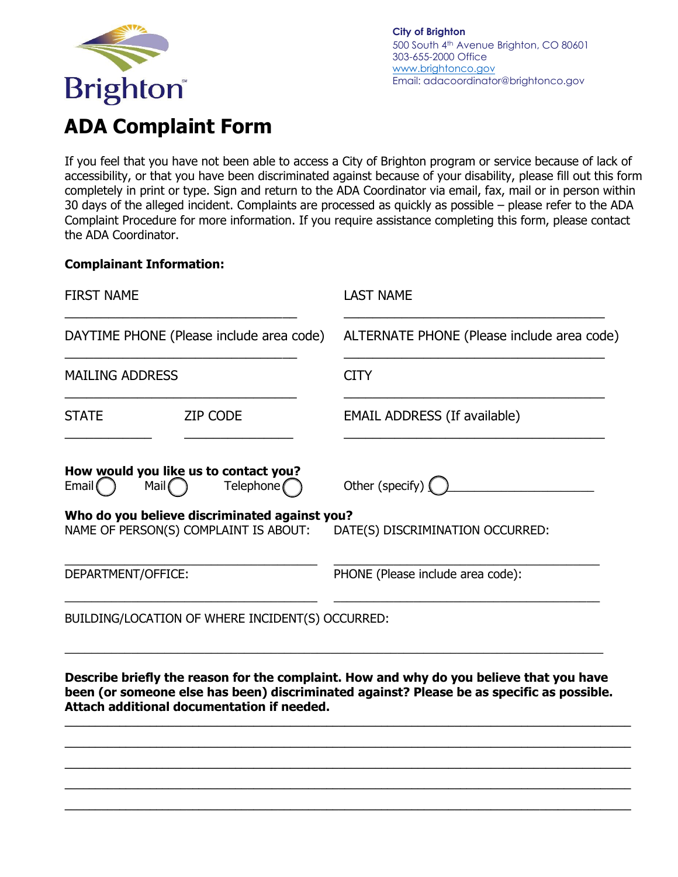

**City of Brighton** 500 South 4<sup>th</sup> Avenue Brighton, CO 80601 303-655-2000 Office [www.brightonco.gov](http://www.brightonco.gov/) Email: adacoordinator[@brightonco.gov](mailto:adacoordinator@brightonco.gov) 

## **ADA Complaint Form**

If you feel that you have not been able to access a City of Brighton program or service because of lack of accessibility, or that you have been discriminated against because of your disability, please fill out this form completely in print or type. Sign and return to the ADA Coordinator via email, fax, mail or in person within 30 days of the alleged incident. Complaints are processed as quickly as possible – please refer to the ADA Complaint Procedure for more information. If you require assistance completing this form, please contact the ADA Coordinator.

## **Complainant Information:**

| <b>FIRST NAME</b>                        |                                                                                                                                | <b>LAST NAME</b>                                                                        |  |
|------------------------------------------|--------------------------------------------------------------------------------------------------------------------------------|-----------------------------------------------------------------------------------------|--|
| DAYTIME PHONE (Please include area code) |                                                                                                                                | ALTERNATE PHONE (Please include area code)                                              |  |
| <b>MAILING ADDRESS</b>                   |                                                                                                                                | <b>CITY</b>                                                                             |  |
| <b>STATE</b>                             | <b>ZIP CODE</b>                                                                                                                | <b>EMAIL ADDRESS (If available)</b>                                                     |  |
| Email $( )$                              | How would you like us to contact you?<br>$T$ elephone $\bigcap$<br>Mail $( )$<br>Who do you believe discriminated against you? | Other (specify) $\int$                                                                  |  |
|                                          |                                                                                                                                | NAME OF PERSON(S) COMPLAINT IS ABOUT: DATE(S) DISCRIMINATION OCCURRED:                  |  |
| DEPARTMENT/OFFICE:                       |                                                                                                                                | PHONE (Please include area code):                                                       |  |
|                                          | BUILDING/LOCATION OF WHERE INCIDENT(S) OCCURRED:                                                                               |                                                                                         |  |
|                                          |                                                                                                                                | Describe briefly the reason for the complaint. How and why do you believe that you have |  |

**been (or someone else has been) discriminated against? Please be as specific as possible. Attach additional documentation if needed. \_\_\_\_\_\_\_\_\_\_\_\_\_\_\_\_\_\_\_\_\_\_\_\_\_\_\_\_\_\_\_\_\_\_\_\_\_\_\_\_\_\_\_\_\_\_\_\_\_\_\_\_\_\_\_\_\_\_\_\_\_\_\_\_\_\_\_\_\_\_\_\_\_\_\_\_\_\_\_\_\_\_\_\_\_\_\_\_\_\_\_\_\_**

**\_\_\_\_\_\_\_\_\_\_\_\_\_\_\_\_\_\_\_\_\_\_\_\_\_\_\_\_\_\_\_\_\_\_\_\_\_\_\_\_\_\_\_\_\_\_\_\_\_\_\_\_\_\_\_\_\_\_\_\_\_\_\_\_\_\_\_\_\_\_\_\_\_\_\_\_\_\_\_\_\_\_\_\_\_\_\_\_\_\_\_\_\_ \_\_\_\_\_\_\_\_\_\_\_\_\_\_\_\_\_\_\_\_\_\_\_\_\_\_\_\_\_\_\_\_\_\_\_\_\_\_\_\_\_\_\_\_\_\_\_\_\_\_\_\_\_\_\_\_\_\_\_\_\_\_\_\_\_\_\_\_\_\_\_\_\_\_\_\_\_\_\_\_\_\_\_\_\_\_\_\_\_\_\_\_\_ \_\_\_\_\_\_\_\_\_\_\_\_\_\_\_\_\_\_\_\_\_\_\_\_\_\_\_\_\_\_\_\_\_\_\_\_\_\_\_\_\_\_\_\_\_\_\_\_\_\_\_\_\_\_\_\_\_\_\_\_\_\_\_\_\_\_\_\_\_\_\_\_\_\_\_\_\_\_\_\_\_\_\_\_\_\_\_\_\_\_\_\_\_ \_\_\_\_\_\_\_\_\_\_\_\_\_\_\_\_\_\_\_\_\_\_\_\_\_\_\_\_\_\_\_\_\_\_\_\_\_\_\_\_\_\_\_\_\_\_\_\_\_\_\_\_\_\_\_\_\_\_\_\_\_\_\_\_\_\_\_\_\_\_\_\_\_\_\_\_\_\_\_\_\_\_\_\_\_\_\_\_\_\_\_\_\_**